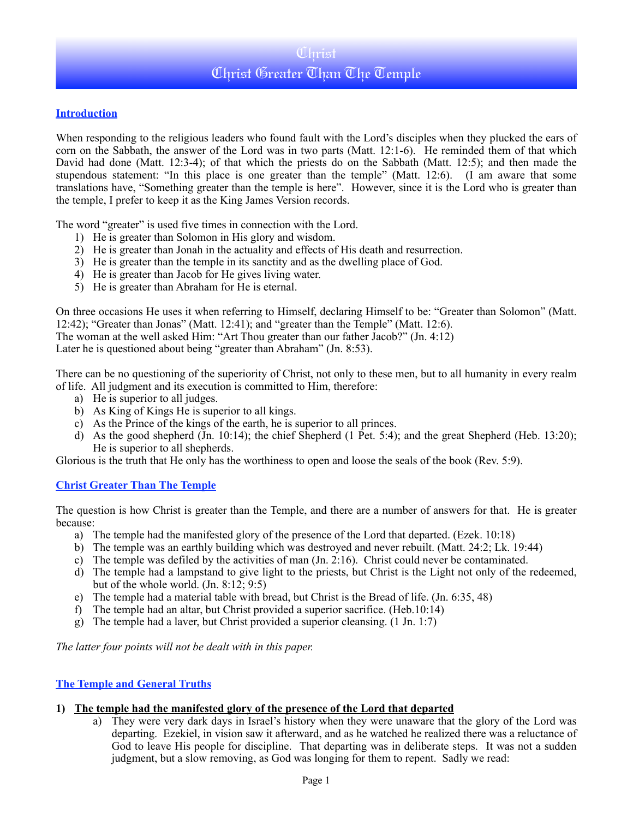# Christ Christ Greater Than The Temple

## **Introduction**

When responding to the religious leaders who found fault with the Lord's disciples when they plucked the ears of corn on the Sabbath, the answer of the Lord was in two parts (Matt. 12:1-6). He reminded them of that which David had done (Matt. 12:3-4); of that which the priests do on the Sabbath (Matt. 12:5); and then made the stupendous statement: "In this place is one greater than the temple" (Matt. 12:6). (I am aware that some translations have, "Something greater than the temple is here". However, since it is the Lord who is greater than the temple, I prefer to keep it as the King James Version records.

The word "greater" is used five times in connection with the Lord.

- 1) He is greater than Solomon in His glory and wisdom.
- 2) He is greater than Jonah in the actuality and effects of His death and resurrection.
- 3) He is greater than the temple in its sanctity and as the dwelling place of God.
- 4) He is greater than Jacob for He gives living water.
- 5) He is greater than Abraham for He is eternal.

On three occasions He uses it when referring to Himself, declaring Himself to be: "Greater than Solomon" (Matt. 12:42); "Greater than Jonas" (Matt. 12:41); and "greater than the Temple" (Matt. 12:6).

The woman at the well asked Him: "Art Thou greater than our father Jacob?" (Jn. 4:12)

Later he is questioned about being "greater than Abraham" (Jn. 8:53).

There can be no questioning of the superiority of Christ, not only to these men, but to all humanity in every realm of life. All judgment and its execution is committed to Him, therefore:

- a) He is superior to all judges.
- b) As King of Kings He is superior to all kings.
- c) As the Prince of the kings of the earth, he is superior to all princes.
- d) As the good shepherd (Jn. 10:14); the chief Shepherd (1 Pet. 5:4); and the great Shepherd (Heb. 13:20); He is superior to all shepherds.

Glorious is the truth that He only has the worthiness to open and loose the seals of the book (Rev. 5:9).

### **Christ Greater Than The Temple**

The question is how Christ is greater than the Temple, and there are a number of answers for that. He is greater because:

- a) The temple had the manifested glory of the presence of the Lord that departed. (Ezek. 10:18)
- b) The temple was an earthly building which was destroyed and never rebuilt. (Matt. 24:2; Lk. 19:44)
- c) The temple was defiled by the activities of man (Jn. 2:16). Christ could never be contaminated.
- d) The temple had a lampstand to give light to the priests, but Christ is the Light not only of the redeemed, but of the whole world. (Jn. 8:12; 9:5)
- e) The temple had a material table with bread, but Christ is the Bread of life. (Jn. 6:35, 48)
- f) The temple had an altar, but Christ provided a superior sacrifice. (Heb.10:14)
- g) The temple had a laver, but Christ provided a superior cleansing. (1 Jn. 1:7)

*The latter four points will not be dealt with in this paper.*

### **The Temple and General Truths**

### **1) The temple had the manifested glory of the presence of the Lord that departed**

a) They were very dark days in Israel's history when they were unaware that the glory of the Lord was departing. Ezekiel, in vision saw it afterward, and as he watched he realized there was a reluctance of God to leave His people for discipline. That departing was in deliberate steps. It was not a sudden judgment, but a slow removing, as God was longing for them to repent. Sadly we read: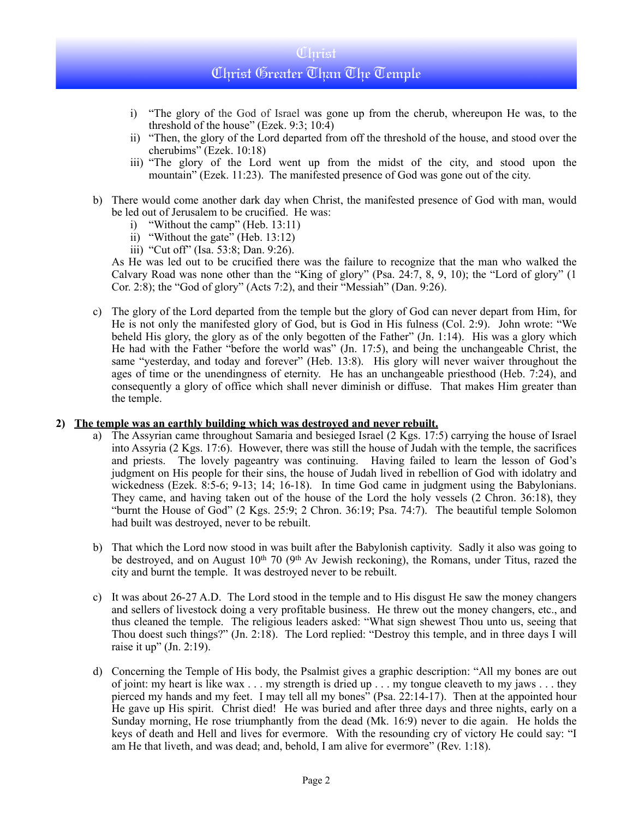# Christ Christ Greater Than The Temple

- i) "The glory of the God of Israel was gone up from the cherub, whereupon He was, to the threshold of the house" (Ezek. 9:3; 10:4)
- ii) "Then, the glory of the Lord departed from off the threshold of the house, and stood over the cherubims" (Ezek. 10:18)
- iii) "The glory of the Lord went up from the midst of the city, and stood upon the mountain" (Ezek. 11:23). The manifested presence of God was gone out of the city.
- b) There would come another dark day when Christ, the manifested presence of God with man, would be led out of Jerusalem to be crucified. He was:
	- i) "Without the camp" (Heb. 13:11)
	- ii) "Without the gate" (Heb. 13:12)
	- iii) "Cut off" (Isa. 53:8; Dan. 9:26).

As He was led out to be crucified there was the failure to recognize that the man who walked the Calvary Road was none other than the "King of glory" (Psa. 24:7, 8, 9, 10); the "Lord of glory" (1 Cor. 2:8); the "God of glory" (Acts 7:2), and their "Messiah" (Dan. 9:26).

c) The glory of the Lord departed from the temple but the glory of God can never depart from Him, for He is not only the manifested glory of God, but is God in His fulness (Col. 2:9). John wrote: "We beheld His glory, the glory as of the only begotten of the Father" (Jn. 1:14). His was a glory which He had with the Father "before the world was" (Jn. 17:5), and being the unchangeable Christ, the same "yesterday, and today and forever" (Heb. 13:8). His glory will never waiver throughout the ages of time or the unendingness of eternity. He has an unchangeable priesthood (Heb. 7:24), and consequently a glory of office which shall never diminish or diffuse. That makes Him greater than the temple.

#### **2) The temple was an earthly building which was destroyed and never rebuilt.**

- a) The Assyrian came throughout Samaria and besieged Israel (2 Kgs. 17:5) carrying the house of Israel into Assyria (2 Kgs. 17:6). However, there was still the house of Judah with the temple, the sacrifices and priests. The lovely pageantry was continuing. Having failed to learn the lesson of God's judgment on His people for their sins, the house of Judah lived in rebellion of God with idolatry and wickedness (Ezek. 8:5-6; 9-13; 14; 16-18). In time God came in judgment using the Babylonians. They came, and having taken out of the house of the Lord the holy vessels (2 Chron. 36:18), they "burnt the House of God" (2 Kgs. 25:9; 2 Chron. 36:19; Psa. 74:7). The beautiful temple Solomon had built was destroyed, never to be rebuilt.
- b) That which the Lord now stood in was built after the Babylonish captivity. Sadly it also was going to be destroyed, and on August  $10<sup>th</sup>$  70 ( $9<sup>th</sup>$  Av Jewish reckoning), the Romans, under Titus, razed the city and burnt the temple. It was destroyed never to be rebuilt.
- c) It was about 26-27 A.D. The Lord stood in the temple and to His disgust He saw the money changers and sellers of livestock doing a very profitable business. He threw out the money changers, etc., and thus cleaned the temple. The religious leaders asked: "What sign shewest Thou unto us, seeing that Thou doest such things?" (Jn. 2:18). The Lord replied: "Destroy this temple, and in three days I will raise it up" (Jn. 2:19).
- d) Concerning the Temple of His body, the Psalmist gives a graphic description: "All my bones are out of joint: my heart is like wax . . . my strength is dried up . . . my tongue cleaveth to my jaws . . . they pierced my hands and my feet. I may tell all my bones" (Psa. 22:14-17). Then at the appointed hour He gave up His spirit. Christ died! He was buried and after three days and three nights, early on a Sunday morning, He rose triumphantly from the dead (Mk. 16:9) never to die again. He holds the keys of death and Hell and lives for evermore. With the resounding cry of victory He could say: "I am He that liveth, and was dead; and, behold, I am alive for evermore" (Rev. 1:18).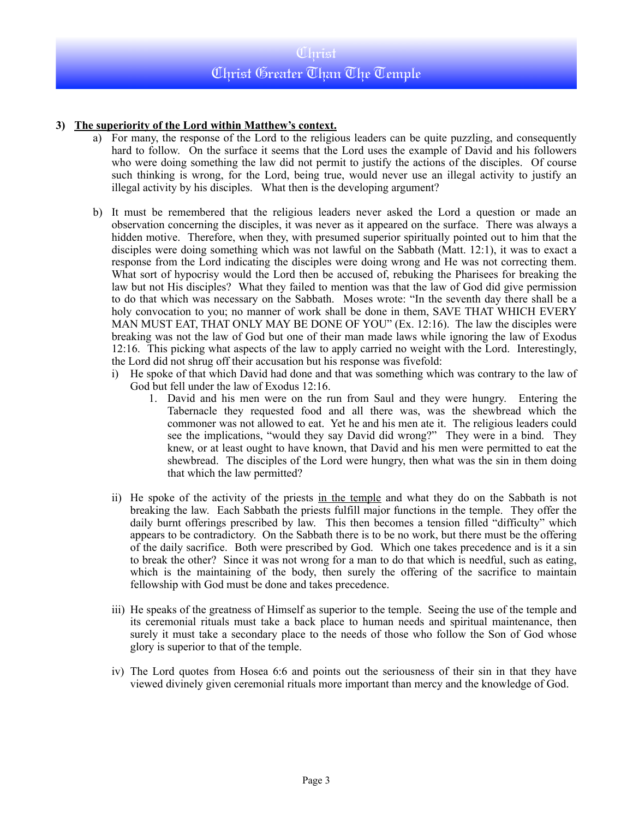# **3) The superiority of the Lord within Matthew's context.**

- a) For many, the response of the Lord to the religious leaders can be quite puzzling, and consequently hard to follow. On the surface it seems that the Lord uses the example of David and his followers who were doing something the law did not permit to justify the actions of the disciples. Of course such thinking is wrong, for the Lord, being true, would never use an illegal activity to justify an illegal activity by his disciples. What then is the developing argument?
- b) It must be remembered that the religious leaders never asked the Lord a question or made an observation concerning the disciples, it was never as it appeared on the surface. There was always a hidden motive. Therefore, when they, with presumed superior spiritually pointed out to him that the disciples were doing something which was not lawful on the Sabbath (Matt. 12:1), it was to exact a response from the Lord indicating the disciples were doing wrong and He was not correcting them. What sort of hypocrisy would the Lord then be accused of, rebuking the Pharisees for breaking the law but not His disciples? What they failed to mention was that the law of God did give permission to do that which was necessary on the Sabbath. Moses wrote: "In the seventh day there shall be a holy convocation to you; no manner of work shall be done in them, SAVE THAT WHICH EVERY MAN MUST EAT, THAT ONLY MAY BE DONE OF YOU" (Ex. 12:16). The law the disciples were breaking was not the law of God but one of their man made laws while ignoring the law of Exodus 12:16. This picking what aspects of the law to apply carried no weight with the Lord. Interestingly, the Lord did not shrug off their accusation but his response was fivefold:
	- i) He spoke of that which David had done and that was something which was contrary to the law of God but fell under the law of Exodus 12:16.
		- 1. David and his men were on the run from Saul and they were hungry. Entering the Tabernacle they requested food and all there was, was the shewbread which the commoner was not allowed to eat. Yet he and his men ate it. The religious leaders could see the implications, "would they say David did wrong?" They were in a bind. They knew, or at least ought to have known, that David and his men were permitted to eat the shewbread. The disciples of the Lord were hungry, then what was the sin in them doing that which the law permitted?
	- ii) He spoke of the activity of the priests in the temple and what they do on the Sabbath is not breaking the law. Each Sabbath the priests fulfill major functions in the temple. They offer the daily burnt offerings prescribed by law. This then becomes a tension filled "difficulty" which appears to be contradictory. On the Sabbath there is to be no work, but there must be the offering of the daily sacrifice. Both were prescribed by God. Which one takes precedence and is it a sin to break the other? Since it was not wrong for a man to do that which is needful, such as eating, which is the maintaining of the body, then surely the offering of the sacrifice to maintain fellowship with God must be done and takes precedence.
	- iii) He speaks of the greatness of Himself as superior to the temple. Seeing the use of the temple and its ceremonial rituals must take a back place to human needs and spiritual maintenance, then surely it must take a secondary place to the needs of those who follow the Son of God whose glory is superior to that of the temple.
	- iv) The Lord quotes from Hosea 6:6 and points out the seriousness of their sin in that they have viewed divinely given ceremonial rituals more important than mercy and the knowledge of God.